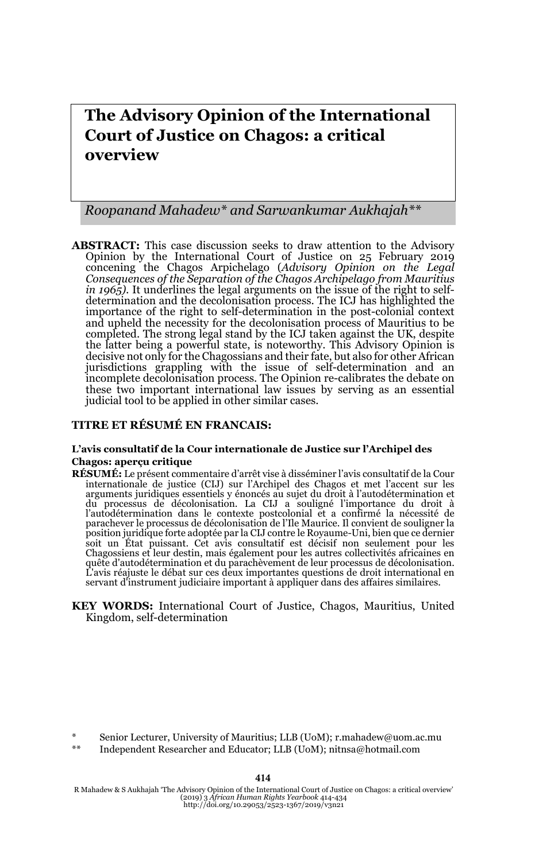# **The Advisory Opinion of the International Court of Justice on Chagos: a critical overview**

*Roopanand Mahadew\* and Sarwankumar Aukhajah\*\**

**ABSTRACT:** This case discussion seeks to draw attention to the Advisory Opinion by the International Court of Justice on 25 February 2019 concening the Chagos Arpichelago (*Advisory Opinion on the Legal Consequences of the Separation of the Chagos Archipelago from Mauritius in 1965).* It underlines the legal arguments on the issue of the right to selfdetermination and the decolonisation process. The ICJ has highlighted the importance of the right to self-determination in the post-colonial context and upheld the necessity for the decolonisation process of Mauritius to be completed. The strong legal stand by the ICJ taken against the UK, despite the latter being a powerful state, is noteworthy. This Advisory Opinion is decisive not only for the Chagossians and their fate, but also for other African jurisdictions grappling with the issue of self-determination and an incomplete decolonisation process. The Opinion re-calibrates the debate on these two important international law issues by serving as an essential judicial tool to be applied in other similar cases.

#### **TITRE ET RÉSUMÉ EN FRANCAIS:**

#### **L'avis consultatif de la Cour internationale de Justice sur l'Archipel des Chagos: aperçu critique**

- **RÉSUMÉ:** Le présent commentaire d'arrêt vise à disséminer l'avis consultatif de la Cour internationale de justice (CIJ) sur l'Archipel des Chagos et met l'accent sur les arguments juridiques essentiels y énoncés au sujet du droit à l'autodétermination et du processus de décolonisation. La CIJ a souligné l'importance du droit à l'autodétermination dans le contexte postcolonial et a confirmé la nécessité de parachever le processus de décolonisation de l'Ile Maurice. Il convient de souligner la position juridique forte adoptée par la CIJ contre le Royaume-Uni, bien que ce dernier soit un État puissant. Cet avis consultatif est décisif non seulement pour les Chagossiens et leur destin, mais également pour les autres collectivités africaines en quête d'autodétermination et du parachèvement de leur processus de décolonisation. L'avis réajuste le débat sur ces deux importantes questions de droit international en servant d'instrument judiciaire important à appliquer dans des affaires similaires.
- **KEY WORDS:** International Court of Justice, Chagos, Mauritius, United Kingdom, self-determination

\*\* Independent Researcher and Educator; LLB (UoM); nitnsa@hotmail.com

414

Senior Lecturer, University of Mauritius; LLB (UoM); r.mahadew@uom.ac.mu

R Mahadew & S Aukhajah 'The Advisory Opinion of the International Court of Justice on Chagos: a critical overview' (2019) 3 *African Human Rights Yearbook* 414-434 http://doi.org/10.29053/2523-1367/2019/v3n21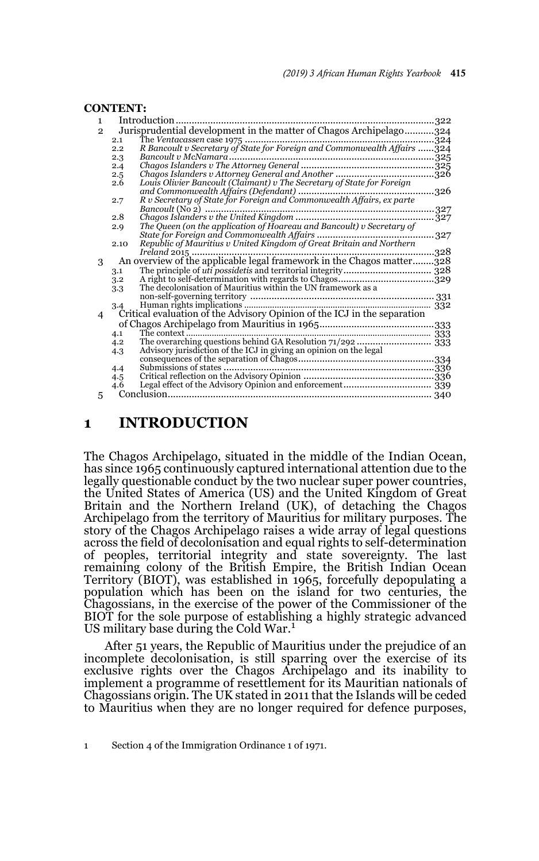|                | <b>CONTENT:</b>                                                          |                                                                          |      |
|----------------|--------------------------------------------------------------------------|--------------------------------------------------------------------------|------|
| $\mathbf{1}$   | Introduction<br>322                                                      |                                                                          |      |
| $\overline{2}$ | Jurisprudential development in the matter of Chagos Archipelago324       |                                                                          |      |
|                | 2.1                                                                      |                                                                          |      |
|                | 2.2                                                                      | R Bancoult v Secretary of State for Foreign and Commonwealth Affairs 324 |      |
|                | 2.3                                                                      |                                                                          |      |
|                | 2.4                                                                      |                                                                          |      |
|                | 2.5                                                                      |                                                                          |      |
|                | 2.6                                                                      | Louis Olivier Bancoult (Claimant) v The Secretary of State for Foreign   |      |
|                |                                                                          |                                                                          |      |
|                | 2.7                                                                      |                                                                          |      |
|                | 2.8                                                                      |                                                                          |      |
|                | 2.9                                                                      | The Queen (on the application of Hoareau and Bancoult) v Secretary of    |      |
|                |                                                                          |                                                                          | .327 |
|                | 2.10                                                                     |                                                                          |      |
|                |                                                                          |                                                                          | .328 |
| 3              |                                                                          | An overview of the applicable legal framework in the Chagos matter328    |      |
|                | 3.1                                                                      |                                                                          |      |
|                | 3.2                                                                      |                                                                          |      |
|                | 3.3                                                                      |                                                                          |      |
|                |                                                                          |                                                                          |      |
|                | 3.4                                                                      |                                                                          |      |
| 4              | Critical evaluation of the Advisory Opinion of the ICJ in the separation |                                                                          |      |
|                |                                                                          |                                                                          |      |
|                | 4.1                                                                      |                                                                          |      |
|                | 4.2                                                                      |                                                                          |      |
|                | 4.3                                                                      | Advisory jurisdiction of the ICJ in giving an opinion on the legal       |      |
|                |                                                                          |                                                                          |      |
|                | 4.4                                                                      |                                                                          |      |
|                | 4.5                                                                      |                                                                          |      |
|                | 4.6                                                                      |                                                                          |      |
| 5              |                                                                          |                                                                          |      |

### **1 INTRODUCTION**

The Chagos Archipelago, situated in the middle of the Indian Ocean, has since 1965 continuously captured international attention due to the legally questionable conduct by the two nuclear super power countries, the United States of America (US) and the United Kingdom of Great Britain and the Northern Ireland (UK), of detaching the Chagos Archipelago from the territory of Mauritius for military purposes. The story of the Chagos Archipelago raises a wide array of legal questions across the field of decolonisation and equal rights to self-determination of peoples, territorial integrity and state sovereignty. The last remaining colony of the British Empire, the British Indian Ocean Territory (BIOT), was established in 1965, forcefully depopulating a population which has been on the island for two centuries, the Chagossians, in the exercise of the power of the Commissioner of the BIOT for the sole purpose of establishing a highly strategic advanced US military base during the Cold War.<sup>1</sup>

After 51 years, the Republic of Mauritius under the prejudice of an incomplete decolonisation, is still sparring over the exercise of its exclusive rights over the Chagos Archipelago and its inability to implement a programme of resettlement for its Mauritian nationals of Chagossians origin. The UK stated in 2011 that the Islands will be ceded to Mauritius when they are no longer required for defence purposes,

<sup>1</sup> Section 4 of the Immigration Ordinance 1 of 1971.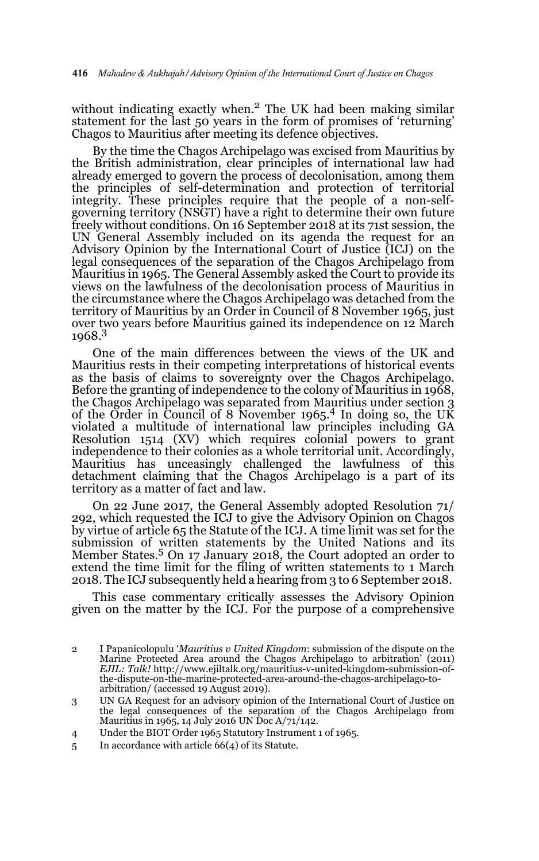without indicating exactly when.2 The UK had been making similar statement for the last 50 years in the form of promises of 'returning' Chagos to Mauritius after meeting its defence objectives.

By the time the Chagos Archipelago was excised from Mauritius by the British administration, clear principles of international law had already emerged to govern the process of decolonisation, among them the principles of self-determination and protection of territorial integrity. These principles require that the people of a non-selfgoverning territory (NSGT) have a right to determine their own future freely without conditions. On 16 September 2018 at its 71st session, the UN General Assembly included on its agenda the request for an Advisory Opinion by the International Court of Justice (ICJ) on the legal consequences of the separation of the Chagos Archipelago from Mauritius in 1965. The General Assembly asked the Court to provide its views on the lawfulness of the decolonisation process of Mauritius in the circumstance where the Chagos Archipelago was detached from the territory of Mauritius by an Order in Council of 8 November 1965, just over two years before Mauritius gained its independence on 12 March 1968.3

One of the main differences between the views of the UK and Mauritius rests in their competing interpretations of historical events as the basis of claims to sovereignty over the Chagos Archipelago. Before the granting of independence to the colony of Mauritius in 1968, the Chagos Archipelago was separated from Mauritius under section 3 of the Order in Council of 8 November 1965.<sup>4</sup> In doing so, the UK violated a multitude of international law principles including GA Resolution 1514 (XV) which requires colonial powers to grant independence to their colonies as a whole territorial unit. Accordingly, Mauritius has unceasingly challenged the lawfulness of this detachment claiming that the Chagos Archipelago is a part of its territory as a matter of fact and law.

On 22 June 2017, the General Assembly adopted Resolution 71/ 292, which requested the ICJ to give the Advisory Opinion on Chagos by virtue of article 65 the Statute of the ICJ. A time limit was set for the submission of written statements by the United Nations and its Member States.<sup>5</sup> On 17 January 2018, the Court adopted an order to extend the time limit for the filing of written statements to 1 March 2018. The ICJ subsequently held a hearing from 3 to 6 September 2018.

This case commentary critically assesses the Advisory Opinion given on the matter by the ICJ. For the purpose of a comprehensive

- 4 Under the BIOT Order 1965 Statutory Instrument 1 of 1965.
- 5 In accordance with article 66(4) of its Statute.

<sup>2</sup> I Papanicolopulu '*Mauritius v United Kingdom*: submission of the dispute on the Marine Protected Area around the Chagos Archipelago to arbitration' (2011) *EJIL: Talk!* http://www.ejiltalk.org/mauritius-v-united-kingdom-submission-ofthe-dispute-on-the-marine-protected-area-around-the-chagos-archipelago-toarbitration/ (accessed 19 August 2019).

<sup>3</sup> UN GA Request for an advisory opinion of the International Court of Justice on the legal consequences of the separation of the Chagos Archipelago from Mauritius in 1965, 14 July 2016 UN Doc A/71/142.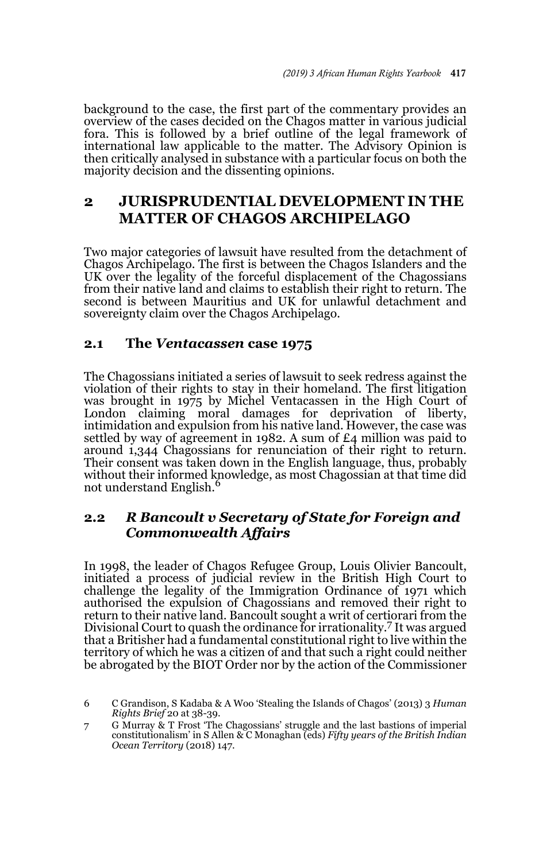background to the case, the first part of the commentary provides an overview of the cases decided on the Chagos matter in various judicial fora. This is followed by a brief outline of the legal framework of international law applicable to the matter. The Advisory Opinion is then critically analysed in substance with a particular focus on both the majority decision and the dissenting opinions.

# **2 JURISPRUDENTIAL DEVELOPMENT IN THE MATTER OF CHAGOS ARCHIPELAGO**

Two major categories of lawsuit have resulted from the detachment of Chagos Archipelago. The first is between the Chagos Islanders and the UK over the legality of the forceful displacement of the Chagossians from their native land and claims to establish their right to return. The second is between Mauritius and UK for unlawful detachment and sovereignty claim over the Chagos Archipelago.

### **2.1 The** *Ventacassen* **case 1975**

The Chagossians initiated a series of lawsuit to seek redress against the violation of their rights to stay in their homeland. The first litigation was brought in 1975 by Michel Ventacassen in the High Court of London claiming moral damages for deprivation of liberty, intimidation and expulsion from his native land. However, the case was settled by way of agreement in 1982. A sum of £4 million was paid to around 1,344 Chagossians for renunciation of their right to return. Their consent was taken down in the English language, thus, probably without their informed knowledge, as most Chagossian at that time did not understand English.<sup>6</sup>

# **2.2** *R Bancoult v Secretary of State for Foreign and Commonwealth Affairs*

In 1998, the leader of Chagos Refugee Group, Louis Olivier Bancoult, initiated a process of judicial review in the British High Court to challenge the legality of the Immigration Ordinance of 1971 which authorised the expulsion of Chagossians and removed their right to return to their native land. Bancoult sought a writ of certiorari from the Divisional Court to quash the ordinance for irrationality.7 It was argued that a Britisher had a fundamental constitutional right to live within the territory of which he was a citizen of and that such a right could neither be abrogated by the BIOT Order nor by the action of the Commissioner

<sup>6</sup> C Grandison, S Kadaba & A Woo 'Stealing the Islands of Chagos' (2013) 3 *Human Rights Brief* 20 at 38-39.

<sup>7</sup> G Murray & T Frost 'The Chagossians' struggle and the last bastions of imperial constitutionalism' in S Allen & C Monaghan (eds) *Fifty years of the British Indian Ocean Territory* (2018) 147.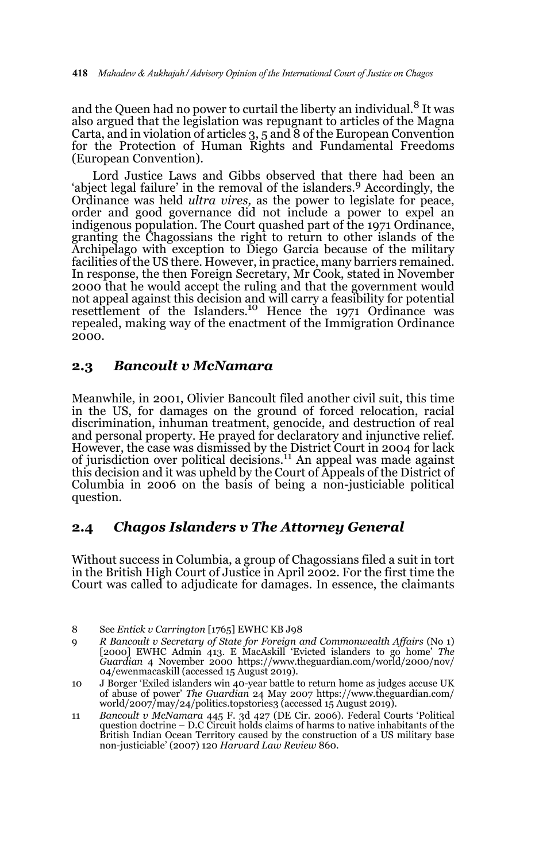and the Queen had no power to curtail the liberty an individual.<sup>8</sup> It was also argued that the legislation was repugnant to articles of the Magna Carta, and in violation of articles  $3, 5$  and  $8$  of the European Convention for the Protection of Human Rights and Fundamental Freedoms (European Convention).

Lord Justice Laws and Gibbs observed that there had been an 'abject legal failure' in the removal of the islanders.<sup>9</sup> Accordingly, the Ordinance was held *ultra vires,* as the power to legislate for peace, order and good governance did not include a power to expel an indigenous population. The Court quashed part of the 1971 Ordinance, granting the Chagossians the right to return to other islands of the Archipelago with exception to Diego Garcia because of the military facilities of the US there. However, in practice, many barriers remained. In response, the then Foreign Secretary, Mr Cook, stated in November 2000 that he would accept the ruling and that the government would not appeal against this decision and will carry a feasibility for potential resettlement of the Islanders.<sup>10</sup> Hence the 1971 Ordinance was repealed, making way of the enactment of the Immigration Ordinance 2000.

#### **2.3** *Bancoult v McNamara*

Meanwhile, in 2001, Olivier Bancoult filed another civil suit, this time in the US, for damages on the ground of forced relocation, racial discrimination, inhuman treatment, genocide, and destruction of real and personal property. He prayed for declaratory and injunctive relief. However, the case was dismissed by the District Court in 2004 for lack of jurisdiction over political decisions.11 An appeal was made against this decision and it was upheld by the Court of Appeals of the District of Columbia in 2006 on the basis of being a non-justiciable political question.

### **2.4** *Chagos Islanders v The Attorney General*

Without success in Columbia, a group of Chagossians filed a suit in tort in the British High Court of Justice in April 2002. For the first time the Court was called to adjudicate for damages. In essence, the claimants

<sup>8</sup> See *Entick v Carrington* [1765] EWHC KB J98

<sup>9</sup> *R Bancoult v Secretary of State for Foreign and Commonwealth Affairs* (No 1) [2000] EWHC Admin 413. E MacAskill 'Evicted islanders to go home' *The Guardian* 4 November 2000 https://www.theguardian.com/world/2000/nov/ 04/ewenmacaskill (accessed 15 August 2019).

<sup>10</sup> J Borger 'Exiled islanders win 40-year battle to return home as judges accuse UK of abuse of power' *The Guardian* 24 May 2007 https://www.theguardian.com/ world/2007/may/24/politics.topstories3 (accessed 15 August 2019).

<sup>11</sup> *Bancoult v McNamara* 445 F. 3d 427 (DE Cir. 2006). Federal Courts 'Political question doctrine – D.C Circuit holds claims of harms to native inhabitants of the British Indian Ocean Territory caused by the construction of a US military base non-justiciable' (2007) 120 *Harvard Law Review* 860.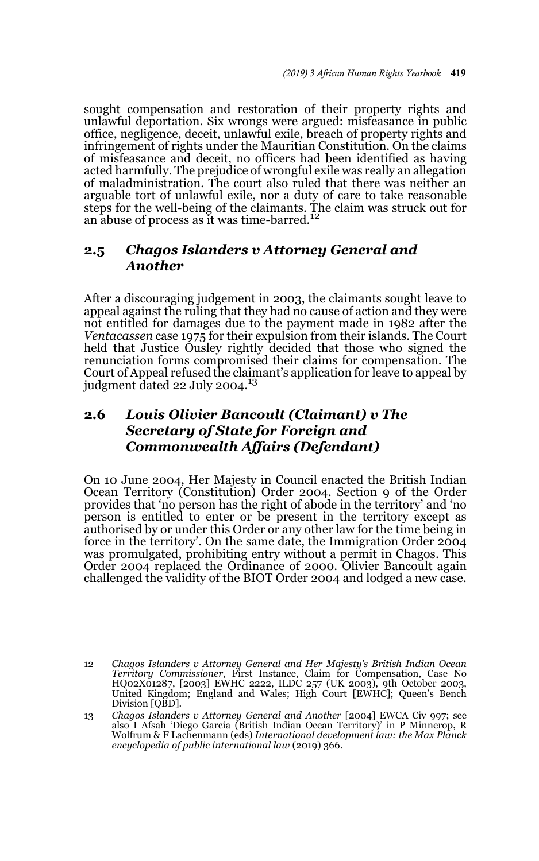sought compensation and restoration of their property rights and unlawful deportation. Six wrongs were argued: misfeasance in public office, negligence, deceit, unlawful exile, breach of property rights and infringement of rights under the Mauritian Constitution. On the claims of misfeasance and deceit, no officers had been identified as having acted harmfully. The prejudice of wrongful exile was really an allegation of maladministration. The court also ruled that there was neither an arguable tort of unlawful exile, nor a duty of care to take reasonable steps for the well-being of the claimants. The claim was struck out for an abuse of process as it was time-barred.<sup>12</sup>

# **2.5** *Chagos Islanders v Attorney General and Another*

After a discouraging judgement in 2003, the claimants sought leave to appeal against the ruling that they had no cause of action and they were not entitled for damages due to the payment made in 1982 after the *Ventacassen* case 1975 for their expulsion from their islands. The Court held that Justice Ousley rightly decided that those who signed the renunciation forms compromised their claims for compensation. The Court of Appeal refused the claimant's application for leave to appeal by<br>judgment dated 22 July 2004.<sup>13</sup>

# **2.6** *Louis Olivier Bancoult (Claimant) v The Secretary of State for Foreign and Commonwealth Affairs (Defendant)*

On 10 June 2004, Her Majesty in Council enacted the British Indian Ocean Territory (Constitution) Order 2004. Section 9 of the Order provides that 'no person has the right of abode in the territory' and 'no person is entitled to enter or be present in the territory except as authorised by or under this Order or any other law for the time being in force in the territory'. On the same date, the Immigration Order 2004 was promulgated, prohibiting entry without a permit in Chagos. This Order 2004 replaced the Ordinance of 2000. Olivier Bancoult again challenged the validity of the BIOT Order 2004 and lodged a new case.

<sup>12</sup> *Chagos Islanders v Attorney General and Her Majesty's British Indian Ocean Territory Commissioner*, First Instance, Claim for Compensation, Case No HQ02X01287, [2003] EWHC 2222, ILDC 257 (UK 2003), 9th October 2003, United Kingdom; England and Wales; High Court [EWHC]; Queen's Bench Division [QBD].

<sup>13</sup> *Chagos Islanders v Attorney General and Another* [2004] EWCA Civ 997; see also I Afsah 'Diego Garcia (British Indian Ocean Territory)' in P Minnerop, R Wolfrum & F Lachenmann (eds) *International development law: the Max Planck encyclopedia of public international law* (2019) 366.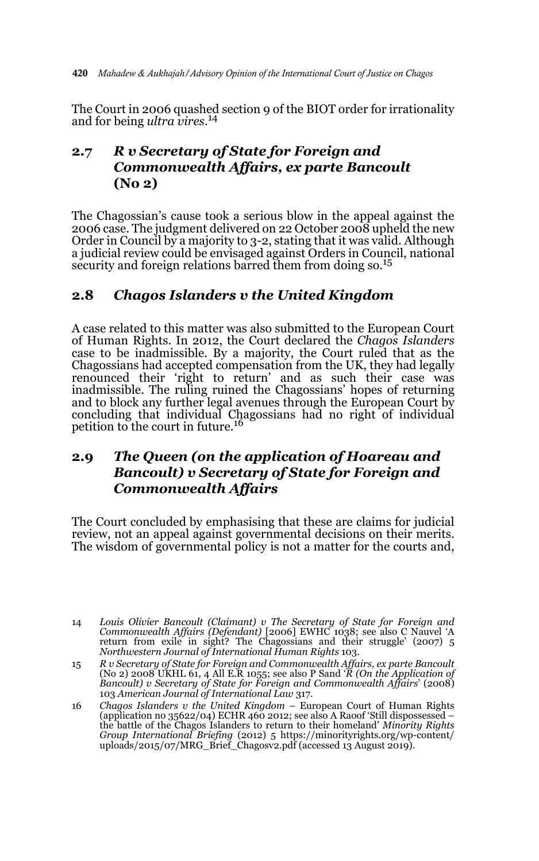The Court in 2006 quashed section 9 of the BIOT order for irrationality and for being *ultra vires*. 14

# **2.7** *R v Secretary of State for Foreign and Commonwealth Affairs, ex parte Bancoult* **(No 2)**

The Chagossian's cause took a serious blow in the appeal against the 2006 case. The judgment delivered on 22 October 2008 upheld the new Order in Council by a majority to 3-2, stating that it was valid. Although a judicial review could be envisaged against Orders in Council, national security and foreign relations barred them from doing so.<sup>15</sup>

# **2.8** *Chagos Islanders v the United Kingdom*

A case related to this matter was also submitted to the European Court of Human Rights. In 2012, the Court declared the *Chagos Islanders* case to be inadmissible. By a majority, the Court ruled that as the Chagossians had accepted compensation from the UK, they had legally renounced their 'right to return' and as such their case was inadmissible. The ruling ruined the Chagossians' hopes of returning and to block any further legal avenues through the European Court by concluding that individual Chagossians had no right of individual petition to the court in future.<sup>16</sup>

# **2.9** *The Queen (on the application of Hoareau and Bancoult) v Secretary of State for Foreign and Commonwealth Affairs*

The Court concluded by emphasising that these are claims for judicial review, not an appeal against governmental decisions on their merits. The wisdom of governmental policy is not a matter for the courts and,

<sup>14</sup> *Louis Olivier Bancoult (Claimant) v The Secretary of State for Foreign and Commonwealth Affairs (Defendant)* [2006] EWHC 1038; see also C Nauvel 'A return from exile in sight? The Chagossians and their struggle' (2007) 5 *Northwestern Journal of International Human Rights* 103.

<sup>15</sup> R v Secretary of State for Foreign and Commonwealth Affairs, ex parte Bancoult<br>(No 2) 2008 UKHL 61, 4 All E.R 1055; see also P Sand 'R (On the Application of<br>Bancoult) v Secretary of State for Foreign and Commonwealth A 103 *American Journal of International Law* 317.

<sup>16</sup> *Chagos Islanders v the United Kingdom* – European Court of Human Rights (application no 35622/04) ECHR 460 2012; see also A Raoof 'Still dispossessed – the battle of the Chagos Islanders to return to their homeland' *Minority Rights Group International Briefing* (2012) 5 https://minorityrights.org/wp-content/ uploads/2015/07/MRG\_Brief\_Chagosv2.pdf (accessed 13 August 2019).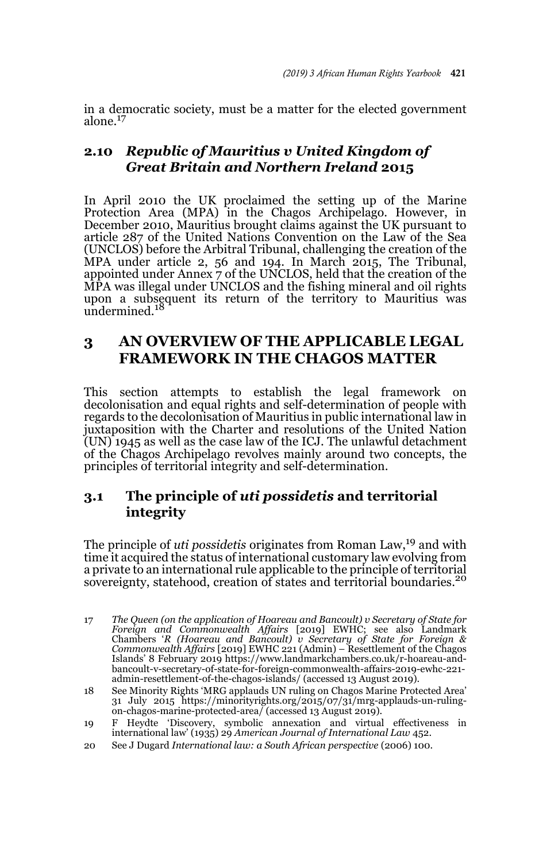in a democratic society, must be a matter for the elected government alone.17

# **2.10** *Republic of Mauritius v United Kingdom of Great Britain and Northern Ireland* **2015**

In April 2010 the UK proclaimed the setting up of the Marine Protection Area (MPA) in the Chagos Archipelago. However, in December 2010, Mauritius brought claims against the UK pursuant to article 287 of the United Nations Convention on the Law of the Sea (UNCLOS) before the Arbitral Tribunal, challenging the creation of the MPA under article 2, 56 and 194. In March 2015, The Tribunal, appointed under Annex 7 of the UNCLOS, held that the creation of the MPA was illegal under UNCLOS and the fishing mineral and oil rights upon a subsequent its return of the territory to Mauritius was undermined. $18$ 

# **3 AN OVERVIEW OF THE APPLICABLE LEGAL FRAMEWORK IN THE CHAGOS MATTER**

This section attempts to establish the legal framework on decolonisation and equal rights and self-determination of people with regards to the decolonisation of Mauritius in public international law in juxtaposition with the Charter and resolutions of the United Nation  $\text{U}(\text{UN})$  1945 as well as the case law of the ICJ. The unlawful detachment of the Chagos Archipelago revolves mainly around two concepts, the principles of territorial integrity and self-determination.

# **3.1 The principle of** *uti possidetis* **and territorial integrity**

The principle of *uti possidetis* originates from Roman Law,<sup>19</sup> and with time it acquired the status of international customary law evolving from a private to an international rule applicable to the principle of territorial sovereignty, statehood, creation of states and territorial boundaries.<sup>20</sup>

- 17 *The Queen (on the application of Hoareau and Bancoult) v Secretary of State for Foreign and Commonwealth Affairs* [2019] EWHC; see also Landmark Chambers '*R (Hoareau and Bancoult) v Secretary of State for Foreign & Commonwealth Affairs* [2019] EWHC 221 (Admin) – Resettlement of the Chagos Islands' 8 February 2019 https://www.landmarkchambers.co.uk/r-hoareau-andbancoult-v-secretary-of-state-for-foreign-commonwealth-affairs-2019-ewhc-221 admin-resettlement-of-the-chagos-islands/ (accessed 13 August 2019).
- 18 See Minority Rights 'MRG applauds UN ruling on Chagos Marine Protected Area' 31 July 2015 https://minorityrights.org/2015/07/31/mrg-applauds-un-ruling-on-chagos-marine-protected-area/ (accessed 13 August 2019).
- 19 F Heydte 'Discovery, symbolic annexation and virtual effectiveness in international law' (1935) 29 *American Journal of International Law* 452.
- 20 See J Dugard *International law: a South African perspective* (2006) 100.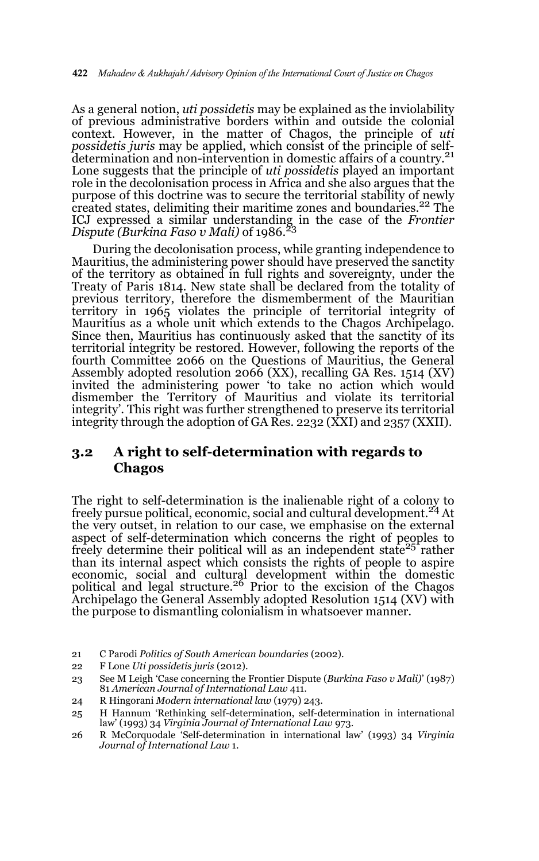As a general notion, *uti possidetis* may be explained as the inviolability of previous administrative borders within and outside the colonial context. However, in the matter of Chagos, the principle of *uti possidetis juris* may be applied, which consist of the principle of selfdetermination and non-intervention in domestic affairs of a country.<sup>21</sup> Lone suggests that the principle of *uti possidetis* played an important role in the decolonisation process in Africa and she also argues that the purpose of this doctrine was to secure the territorial stability of newly created states, delimiting their maritime zones and boundaries.<sup>22</sup> The ICJ expressed a similar understanding in the case of the *Frontier Dispute (Burkina Faso v Mali)* of 1986.<sup>23</sup>

During the decolonisation process, while granting independence to Mauritius, the administering power should have preserved the sanctity of the territory as obtained in full rights and sovereignty, under the Treaty of Paris 1814. New state shall be declared from the totality of previous territory, therefore the dismemberment of the Mauritian territory in 1965 violates the principle of territorial integrity of Mauritius as a whole unit which extends to the Chagos Archipelago. Since then, Mauritius has continuously asked that the sanctity of its territorial integrity be restored. However, following the reports of the fourth Committee 2066 on the Questions of Mauritius, the General Assembly adopted resolution 2066 (XX), recalling GA Res. 1514 (XV) invited the administering power 'to take no action which would dismember the Territory of Mauritius and violate its territorial integrity'. This right was further strengthened to preserve its territorial integrity through the adoption of GA Res. 2232 (XXI) and 2357 (XXII).

### **3.2 A right to self-determination with regards to Chagos**

The right to self-determination is the inalienable right of a colony to freely pursue political, economic, social and cultural development.24 At the very outset, in relation to our case, we emphasise on the external aspect of self-determination which concerns the right of peoples to freely determine their political will as an independent state<sup>25</sup> rather than its internal aspect which consists the rights of people to aspire economic, social and cultural development within the domestic political and legal structure.26 Prior to the excision of the Chagos Archipelago the General Assembly adopted Resolution 1514 (XV) with the purpose to dismantling colonialism in whatsoever manner.

- 21 C Parodi *Politics of South American boundaries* (2002).
- 22 F Lone *Uti possidetis juris* (2012).
- 23 See M Leigh 'Case concerning the Frontier Dispute (*Burkina Faso v Mali)*' (1987) 81 *American Journal of International Law* 411.
- 24 R Hingorani *Modern international law* (1979) 243.
- 25 H Hannum 'Rethinking self-determination, self-determination in international law' (1993) 34 *Virginia Journal of International Law* 973.

26 R McCorquodale 'Self-determination in international law' (1993) 34 *Virginia Journal of International Law* 1.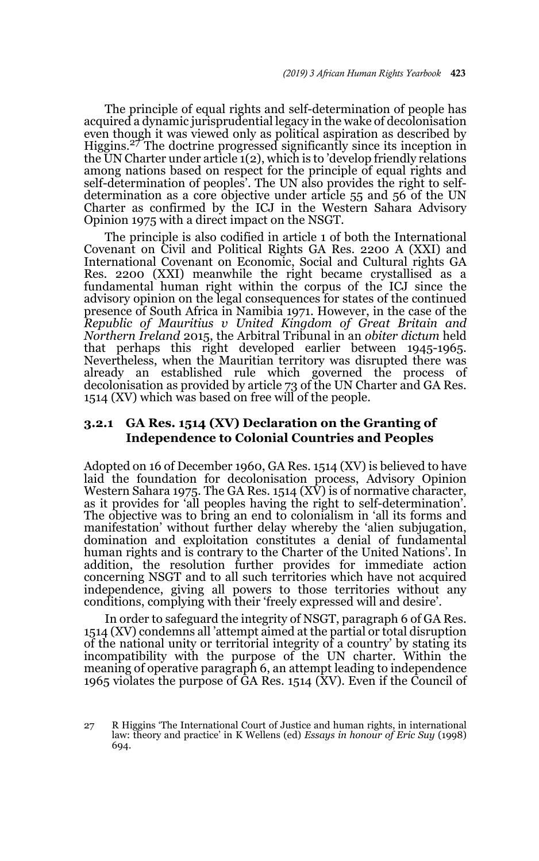The principle of equal rights and self-determination of people has acquired a dynamic jurisprudential legacy in the wake of decolonisation even though it was viewed only as political aspiration as described by Higgins.<sup>27</sup> The doctrine progressed significantly since its inception in the UN Charter under article 1(2), which is to 'develop friendly relations among nations based on respect for the principle of equal rights and self-determination of peoples'. The UN also provides the right to selfdetermination as a core objective under article 55 and 56 of the UN Charter as confirmed by the ICJ in the Western Sahara Advisory Opinion 1975 with a direct impact on the NSGT.

The principle is also codified in article 1 of both the International Covenant on Civil and Political Rights GA Res. 2200 A (XXI) and International Covenant on Economic, Social and Cultural rights GA Res. 2200 (XXI) meanwhile the right became crystallised as a fundamental human right within the corpus of the ICJ since the advisory opinion on the legal consequences for states of the continued presence of South Africa in Namibia 1971. However, in the case of the *Republic of Mauritius v United Kingdom of Great Britain and Northern Ireland* 2015, the Arbitral Tribunal in an *obiter dictum* held that perhaps this right developed earlier between 1945-1965. Nevertheless, when the Mauritian territory was disrupted there was already an established rule which governed the process of decolonisation as provided by article 73 of the UN Charter and GA Res. 1514 (XV) which was based on free will of the people.

#### **3.2.1 GA Res. 1514 (XV) Declaration on the Granting of Independence to Colonial Countries and Peoples**

Adopted on 16 of December 1960, GA Res. 1514 (XV) is believed to have laid the foundation for decolonisation process, Advisory Opinion Western Sahara 1975. The GA Res. 1514  $(X\bar{V})$  is of normative character, as it provides for 'all peoples having the right to self-determination'. The objective was to bring an end to colonialism in 'all its forms and manifestation' without further delay whereby the 'alien subjugation, domination and exploitation constitutes a denial of fundamental human rights and is contrary to the Charter of the United Nations'. In addition, the resolution further provides for immediate action concerning NSGT and to all such territories which have not acquired independence, giving all powers to those territories without any conditions, complying with their 'freely expressed will and desire'.

In order to safeguard the integrity of NSGT, paragraph 6 of GA Res. 1514 (XV) condemns all 'attempt aimed at the partial or total disruption of the national unity or territorial integrity of a country' by stating its incompatibility with the purpose of the UN charter. Within the meaning of operative paragraph 6, an attempt leading to independence 1965 violates the purpose of  $\hat{G}A$  Res. 1514 (XV). Even if the Council of

<sup>27</sup> R Higgins 'The International Court of Justice and human rights, in international law: theory and practice' in K Wellens (ed) *Essays in honour of Eric Suy* (1998) 694.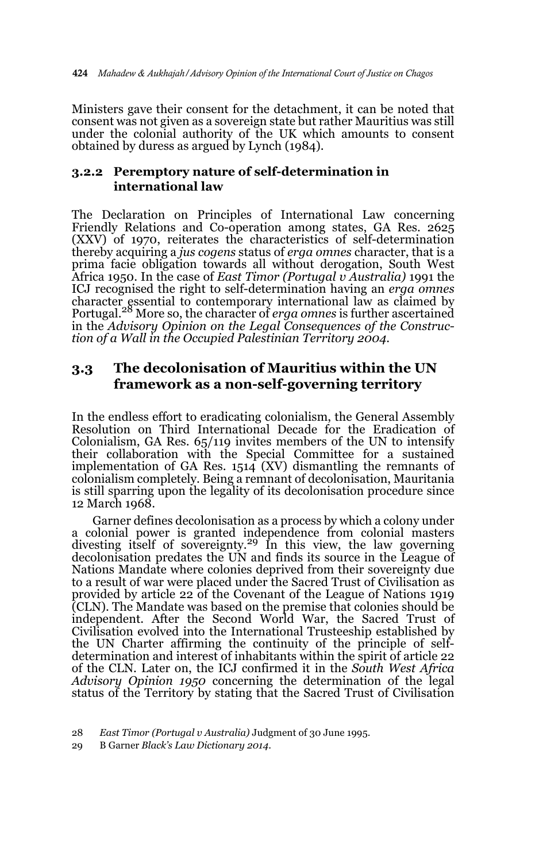Ministers gave their consent for the detachment, it can be noted that consent was not given as a sovereign state but rather Mauritius was still under the colonial authority of the UK which amounts to consent obtained by duress as argued by Lynch (1984).

### **3.2.2 Peremptory nature of self-determination in international law**

The Declaration on Principles of International Law concerning Friendly Relations and Co-operation among states, GA Res. 2625 (XXV) of 1970, reiterates the characteristics of self-determination thereby acquiring a *jus cogens* status of *erga omnes* character, that is a prima facie obligation towards all without derogation, South West Africa 1950. In the case of *East Timor (Portugal v Australia)* 1991 the ICJ recognised the right to self-determination having an *erga omnes* character essential to contemporary international law as claimed by Portugal.28 More so, the character of *erga omnes* is further ascertained in the *Advisory Opinion on the Legal Consequences of the Construction of a Wall in the Occupied Palestinian Territory 2004*.

### **3.3 The decolonisation of Mauritius within the UN framework as a non-self-governing territory**

In the endless effort to eradicating colonialism, the General Assembly Resolution on Third International Decade for the Eradication of Colonialism, GA Res. 65/119 invites members of the UN to intensify their collaboration with the Special Committee for a sustained implementation of GA Res.  $1514$  (XV) dismantling the remnants of colonialism completely. Being a remnant of decolonisation, Mauritania is still sparring upon the legality of its decolonisation procedure since 12 March 1968.

Garner defines decolonisation as a process by which a colony under a colonial power is granted independence from colonial masters divesting itself of sovereignty.29 In this view, the law governing decolonisation predates the UN and finds its source in the League of Nations Mandate where colonies deprived from their sovereignty due to a result of war were placed under the Sacred Trust of Civilisation as provided by article 22 of the Covenant of the League of Nations 1919 (CLN). The Mandate was based on the premise that colonies should be independent. After the Second World War, the Sacred Trust of Civilisation evolved into the International Trusteeship established by the UN Charter affirming the continuity of the principle of selfdetermination and interest of inhabitants within the spirit of article 22 of the CLN. Later on, the ICJ confirmed it in the *South West Africa Advisory Opinion 1950* concerning the determination of the legal status of the Territory by stating that the Sacred Trust of Civilisation

<sup>28</sup> *East Timor (Portugal v Australia)* Judgment of 30 June 1995.

<sup>29</sup> B Garner *Black's Law Dictionary 2014*.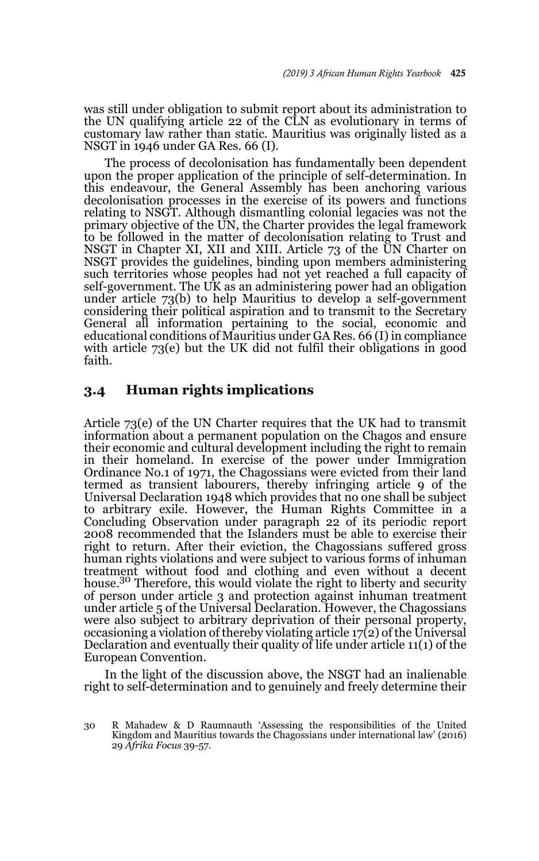was still under obligation to submit report about its administration to the UN qualifying article 22 of the CLN as evolutionary in terms of customary law rather than static. Mauritius was originally listed as a NSGT in 1946 under GA Res. 66 (I).

The process of decolonisation has fundamentally been dependent upon the proper application of the principle of self-determination. In this endeavour, the General Assembly has been anchoring various decolonisation processes in the exercise of its powers and functions relating to NSGT. Although dismantling colonial legacies was not the primary objective of the UN, the Charter provides the legal framework to be followed in the matter of decolonisation relating to Trust and NSGT in Chapter XI, XII and XIII. Article 73 of the UN Charter on NSGT provides the guidelines, binding upon members administering such territories whose peoples had not yet reached a full capacity of self-government. The UK as an administering power had an obligation under article 73(b) to help Mauritius to develop a self-government considering their political aspiration and to transmit to the Secretary General all information pertaining to the social, economic and educational conditions of Mauritius under GA Res. 66 (I) in compliance with article 73(e) but the UK did not fulfil their obligations in good faith.

#### **3.4 Human rights implications**

Article 73(e) of the UN Charter requires that the UK had to transmit information about a permanent population on the Chagos and ensure their economic and cultural development including the right to remain in their homeland. In exercise of the power under Immigration Ordinance No.1 of 1971, the Chagossians were evicted from their land termed as transient labourers, thereby infringing article 9 of the Universal Declaration 1948 which provides that no one shall be subject to arbitrary exile. However, the Human Rights Committee in a Concluding Observation under paragraph 22 of its periodic report 2008 recommended that the Islanders must be able to exercise their right to return. After their eviction, the Chagossians suffered gross human rights violations and were subject to various forms of inhuman treatment without food and clothing and even without a decent house.<sup>30</sup> Therefore, this would violate the right to liberty and security of person under article 3 and protection against inhuman treatment under article 5 of the Universal Declaration. However, the Chagossians were also subject to arbitrary deprivation of their personal property, occasioning a violation of thereby violating article  $17(2)$  of the Universal Declaration and eventually their quality of life under article 11(1) of the European Convention.

In the light of the discussion above, the NSGT had an inalienable right to self-determination and to genuinely and freely determine their

<sup>30</sup> R Mahadew & D Raumnauth 'Assessing the responsibilities of the United Kingdom and Mauritius towards the Chagossians under international law' (2016) 29 *Afrika Focus* 39-57.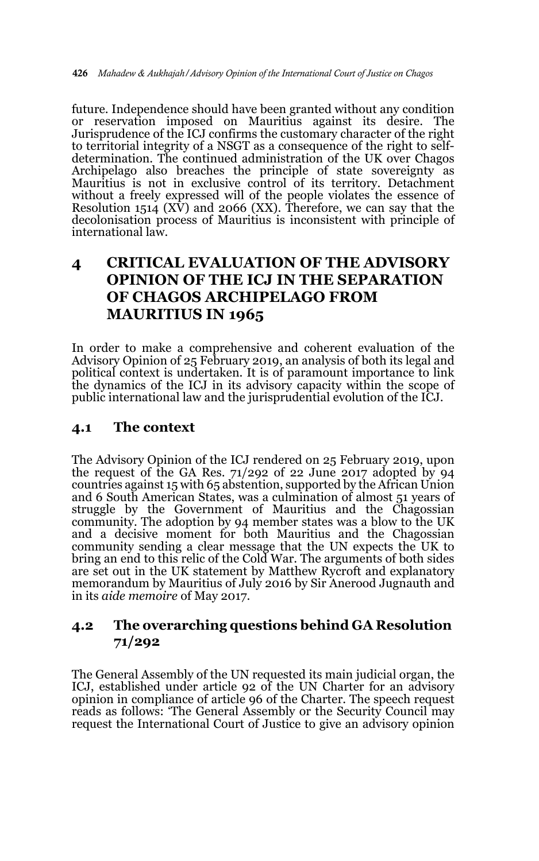future. Independence should have been granted without any condition or reservation imposed on Mauritius against its desire. The Jurisprudence of the ICJ confirms the customary character of the right to territorial integrity of a NSGT as a consequence of the right to selfdetermination. The continued administration of the UK over Chagos Archipelago also breaches the principle of state sovereignty as Mauritius is not in exclusive control of its territory. Detachment without a freely expressed will of the people violates the essence of Resolution 1514 (XV) and 2066 (XX). Therefore, we can say that the decolonisation process of Mauritius is inconsistent with principle of international law.

# **4 CRITICAL EVALUATION OF THE ADVISORY OPINION OF THE ICJ IN THE SEPARATION OF CHAGOS ARCHIPELAGO FROM MAURITIUS IN 1965**

In order to make a comprehensive and coherent evaluation of the Advisory Opinion of 25 February 2019, an analysis of both its legal and political context is undertaken. It is of paramount importance to link the dynamics of the ICJ in its advisory capacity within the scope of public international law and the jurisprudential evolution of the ICJ.

### **4.1 The context**

The Advisory Opinion of the ICJ rendered on 25 February 2019, upon the request of the GA Res.  $71/292$  of 22 June 2017 adopted by 94 countries against 15 with 65 abstention, supported by the African Union and 6 South American States, was a culmination of almost 51 years of struggle by the Government of Mauritius and the Chagossian community. The adoption by 94 member states was a blow to the UK and a decisive moment for both Mauritius and the Chagossian community sending a clear message that the UN expects the UK to bring an end to this relic of the Cold War. The arguments of both sides are set out in the UK statement by Matthew Rycroft and explanatory memorandum by Mauritius of July 2016 by Sir Anerood Jugnauth and in its *aide memoire* of May 2017.

### **4.2 The overarching questions behind GA Resolution 71/292**

The General Assembly of the UN requested its main judicial organ, the ICJ, established under article 92 of the UN Charter for an advisory opinion in compliance of article 96 of the Charter. The speech request reads as follows: 'The General Assembly or the Security Council may request the International Court of Justice to give an advisory opinion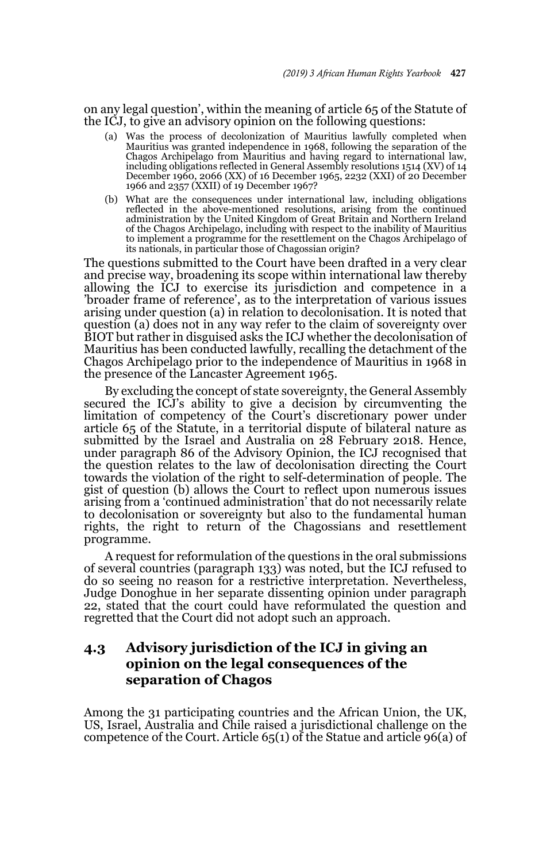on any legal question', within the meaning of article 65 of the Statute of the ICJ, to give an advisory opinion on the following questions:

- (a) Was the process of decolonization of Mauritius lawfully completed when Mauritius was granted independence in 1968, following the separation of the Chagos Archipelago from Mauritius and having regard to international law, including obligations reflected in General Assembly resolutions 1514 (XV) of 14 December 1960, 2066 (XX) of 16 December 1965, 2232 (XXI) of 20 December 1966 and 2357 (XXII) of 19 December 1967?
- (b) What are the consequences under international law, including obligations reflected in the above-mentioned resolutions, arising from the continued administration by the United Kingdom of Great Britain and Northern Ireland of the Chagos Archipelago, including with respect to the inability of Mauritius to implement a programme for the resettlement on the Chagos Archipelago of its nationals, in particular those of Chagossian origin?

The questions submitted to the Court have been drafted in a very clear and precise way, broadening its scope within international law thereby allowing the ICJ to exercise its jurisdiction and competence in a 'broader frame of reference', as to the interpretation of various issues arising under question (a) in relation to decolonisation. It is noted that question (a) does not in any way refer to the claim of sovereignty over BIOT but rather in disguised asks the ICJ whether the decolonisation of Mauritius has been conducted lawfully, recalling the detachment of the Chagos Archipelago prior to the independence of Mauritius in 1968 in the presence of the Lancaster Agreement 1965.

By excluding the concept of state sovereignty, the General Assembly secured the ICJ's ability to give a decision by circumventing the limitation of competency of the Court's discretionary power under article 65 of the Statute, in a territorial dispute of bilateral nature as submitted by the Israel and Australia on 28 February 2018. Hence, under paragraph 86 of the Advisory Opinion, the ICJ recognised that the question relates to the law of decolonisation directing the Court towards the violation of the right to self-determination of people. The gist of question (b) allows the Court to reflect upon numerous issues arising from a 'continued administration' that do not necessarily relate to decolonisation or sovereignty but also to the fundamental human rights, the right to return of the Chagossians and resettlement programme.

A request for reformulation of the questions in the oral submissions of several countries (paragraph 133) was noted, but the ICJ refused to do so seeing no reason for a restrictive interpretation. Nevertheless, Judge Donoghue in her separate dissenting opinion under paragraph 22, stated that the court could have reformulated the question and regretted that the Court did not adopt such an approach.

# **4.3 Advisory jurisdiction of the ICJ in giving an opinion on the legal consequences of the separation of Chagos**

Among the 31 participating countries and the African Union, the UK, US, Israel, Australia and Chile raised a jurisdictional challenge on the competence of the Court. Article 65(1) of the Statue and article 96(a) of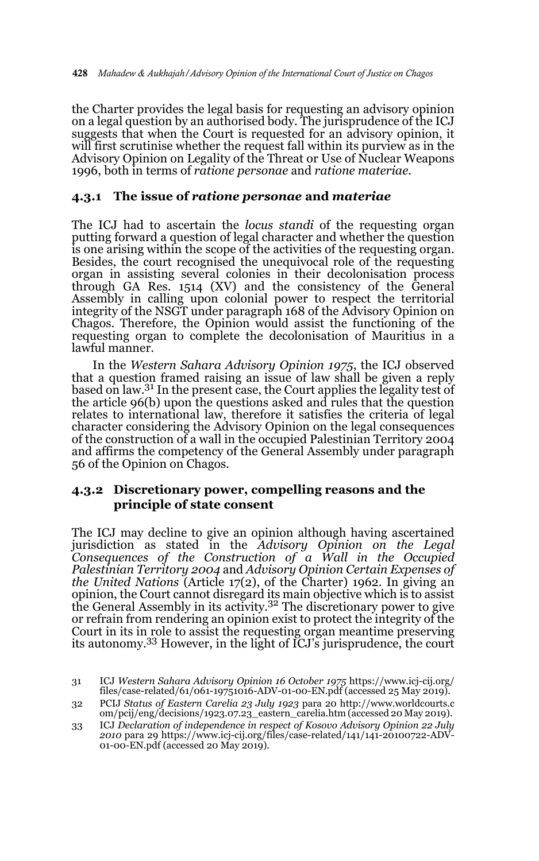the Charter provides the legal basis for requesting an advisory opinion on a legal question by an authorised body. The jurisprudence of the ICJ suggests that when the Court is requested for an advisory opinion, it will first scrutinise whether the request fall within its purview as in the Advisory Opinion on Legality of the Threat or Use of Nuclear Weapons 1996, both in terms of *ratione personae* and *ratione materiae*.

#### **4.3.1 The issue of** *ratione personae* **and** *materiae*

The ICJ had to ascertain the *locus standi* of the requesting organ putting forward a question of legal character and whether the question is one arising within the scope of the activities of the requesting organ. Besides, the court recognised the unequivocal role of the requesting organ in assisting several colonies in their decolonisation process through GA Res. 1514 (XV) and the consistency of the General Assembly in calling upon colonial power to respect the territorial integrity of the NSGT under paragraph 168 of the Advisory Opinion on Chagos. Therefore, the Opinion would assist the functioning of the requesting organ to complete the decolonisation of Mauritius in a lawful manner.

In the *Western Sahara Advisory Opinion 1975*, the ICJ observed that a question framed raising an issue of law shall be given a reply based on law.<sup>31</sup> In the present case, the Court applies the legality test of the article 96(b) upon the questions asked and rules that the question relates to international law, therefore it satisfies the criteria of legal character considering the Advisory Opinion on the legal consequences of the construction of a wall in the occupied Palestinian Territory 2004 and affirms the competency of the General Assembly under paragraph 56 of the Opinion on Chagos.

#### **4.3.2 Discretionary power, compelling reasons and the principle of state consent**

The ICJ may decline to give an opinion although having ascertained jurisdiction as stated in the *Advisory Opinion on the Legal Consequences of the Construction of a Wall in the Occupied Palestinian Territory 2004* and *Advisory Opinion Certain Expenses of the United Nations* (Article 17(2), of the Charter) 1962. In giving an opinion, the Court cannot disregard its main objective which is to assist<br>the General Assembly in its activity.<sup>32</sup> The discretionary power to give or refrain from rendering an opinion exist to protect the integrity of the Court in its in role to assist the requesting organ meantime preserving its autonomy.33 However, in the light of ICJ's jurisprudence, the court

<sup>31</sup> ICJ *Western Sahara Advisory Opinion 16 October 1975* https://www.icj-cij.org/ files/case-related/61/061-19751016-ADV-01-00-EN.pdf (accessed 25 May 2019).

<sup>32</sup> PCIJ *Status of Eastern Carelia 23 July 1923* para 20 http://www.worldcourts.c om/pcij/eng/decisions/1923.07.23\_eastern\_carelia.htm (accessed 20 May 2019).

<sup>33</sup> ICJ *Declaration of independence in respect of Kosovo Advisory Opinion 22 July 2010* para 29 https://www.icj-cij.org/files/case-related/141/141-20100722-ADV-01-00-EN.pdf (accessed 20 May 2019).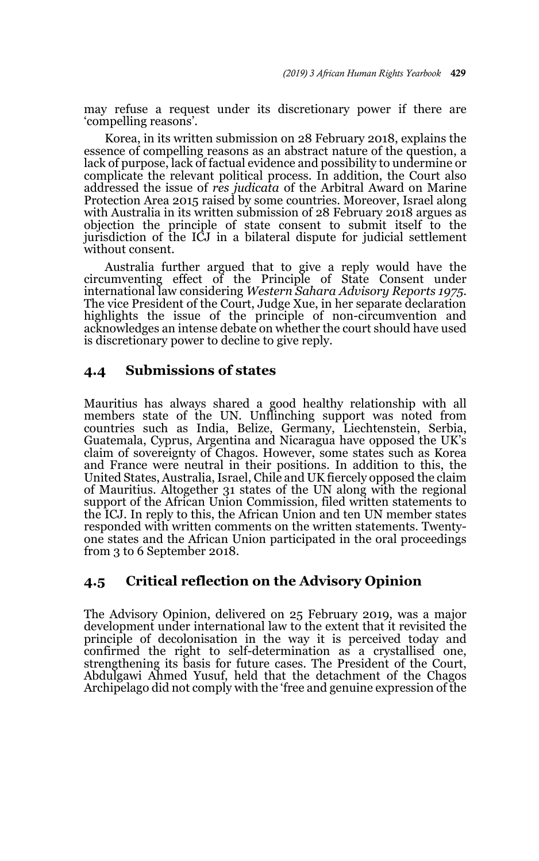may refuse a request under its discretionary power if there are 'compelling reasons'.

Korea, in its written submission on 28 February 2018, explains the essence of compelling reasons as an abstract nature of the question, a lack of purpose, lack of factual evidence and possibility to undermine or complicate the relevant political process. In addition, the Court also addressed the issue of *res judicata* of the Arbitral Award on Marine Protection Area 2015 raised by some countries. Moreover, Israel along with Australia in its written submission of 28 February 2018 argues as objection the principle of state consent to submit itself to the jurisdiction of the ICJ in a bilateral dispute for judicial settlement without consent.

Australia further argued that to give a reply would have the circumventing effect of the Principle of State Consent under international law considering *Western Sahara Advisory Reports 1975*. The vice President of the Court, Judge Xue, in her separate declaration highlights the issue of the principle of non-circumvention and acknowledges an intense debate on whether the court should have used is discretionary power to decline to give reply.

### **4.4 Submissions of states**

Mauritius has always shared a good healthy relationship with all members state of the UN. Unflinching support was noted from countries such as India, Belize, Germany, Liechtenstein, Serbia, Guatemala, Cyprus, Argentina and Nicaragua have opposed the UK's claim of sovereignty of Chagos. However, some states such as Korea and France were neutral in their positions. In addition to this, the United States, Australia, Israel, Chile and UK fiercely opposed the claim of Mauritius. Altogether 31 states of the UN along with the regional support of the African Union Commission, filed written statements to the ICJ. In reply to this, the African Union and ten UN member states responded with written comments on the written statements. Twentyone states and the African Union participated in the oral proceedings from 3 to 6 September 2018.

### **4.5 Critical reflection on the Advisory Opinion**

The Advisory Opinion, delivered on 25 February 2019, was a major development under international law to the extent that it revisited the principle of decolonisation in the way it is perceived today and confirmed the right to self-determination as a crystallised one, strengthening its basis for future cases. The President of the Court, Abdulgawi Ahmed Yusuf, held that the detachment of the Chagos Archipelago did not comply with the 'free and genuine expression of the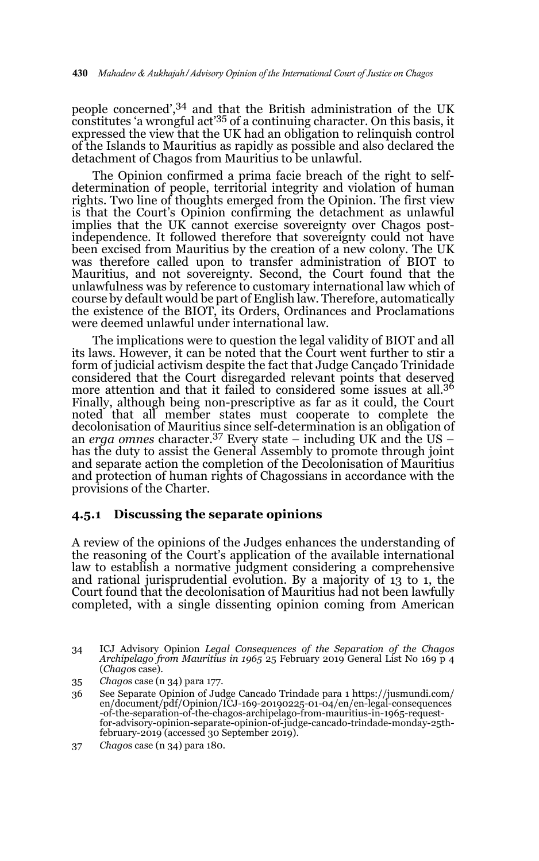people concerned',34 and that the British administration of the UK constitutes 'a wrongful act<sup>'35</sup> of a continuing character. On this basis, it expressed the view that the UK had an obligation to relinquish control of the Islands to Mauritius as rapidly as possible and also declared the detachment of Chagos from Mauritius to be unlawful.

The Opinion confirmed a prima facie breach of the right to selfdetermination of people, territorial integrity and violation of human rights. Two line of thoughts emerged from the Opinion. The first view is that the Court's Opinion confirming the detachment as unlawful implies that the UK cannot exercise sovereignty over Chagos postindependence. It followed therefore that sovereignty could not have been excised from Mauritius by the creation of a new colony. The UK was therefore called upon to transfer administration of BIOT to Mauritius, and not sovereignty. Second, the Court found that the unlawfulness was by reference to customary international law which of course by default would be part of English law. Therefore, automatically the existence of the BIOT, its Orders, Ordinances and Proclamations were deemed unlawful under international law.

The implications were to question the legal validity of BIOT and all its laws. However, it can be noted that the Court went further to stir a form of judicial activism despite the fact that Judge Cançado Trinidade considered that the Court disregarded relevant points that deserved more attention and that it failed to considered some issues at all.<sup>36</sup> Finally, although being non-prescriptive as far as it could, the Court noted that all member states must cooperate to complete the decolonisation of Mauritius since self-determination is an obligation of an *erga omnes* character.<sup>37</sup> Every state – including UK and the US – has the duty to assist the General Assembly to promote through joint and separate action the completion of the Decolonisation of Mauritius and protection of human rights of Chagossians in accordance with the provisions of the Charter.

#### **4.5.1 Discussing the separate opinions**

A review of the opinions of the Judges enhances the understanding of the reasoning of the Court's application of the available international law to establish a normative judgment considering a comprehensive and rational jurisprudential evolution. By a majority of 13 to 1, the Court found that the decolonisation of Mauritius had not been lawfully completed, with a single dissenting opinion coming from American

<sup>34</sup> ICJ Advisory Opinion *Legal Consequences of the Separation of the Chagos Archipelago from Mauritius in 1965* 25 February 2019 General List No 169 p 4 (*Chago*s case).

<sup>35</sup> *Chago*s case (n 34) para 177.

<sup>36</sup> See Separate Opinion of Judge Cancado Trindade para 1 https://jusmundi.com/ en/document/pdf/Opinion/ICJ-169-20190225-01-04/en/en-legal-consequences -of-the-separation-of-the-chagos-archipelago-from-mauritius-in-1965-requestfor-advisory-opinion-separate-opinion-of-judge-cancado-trindade-monday-25th-february-2019 (accessed 30 September 2019).

<sup>37</sup> *Chago*s case (n 34) para 180.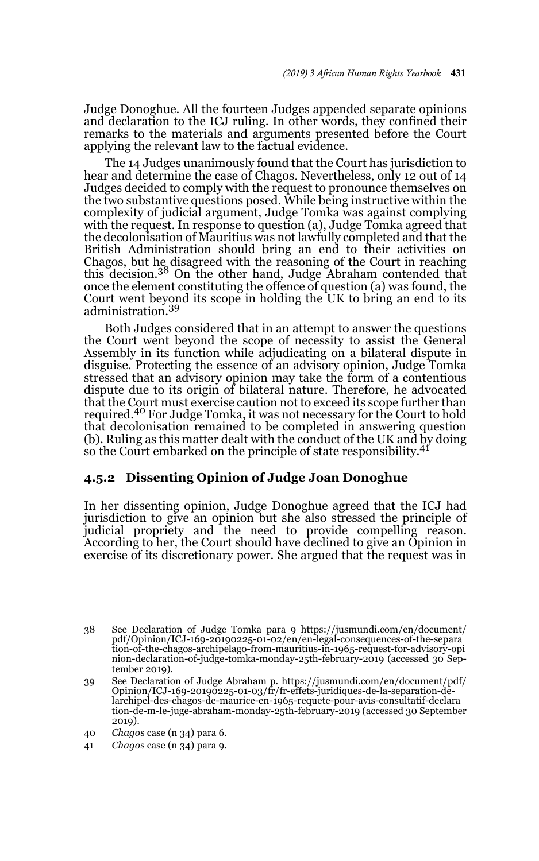Judge Donoghue. All the fourteen Judges appended separate opinions and declaration to the ICJ ruling. In other words, they confined their remarks to the materials and arguments presented before the Court applying the relevant law to the factual evidence.

The 14 Judges unanimously found that the Court has jurisdiction to hear and determine the case of Chagos. Nevertheless, only 12 out of 14 Judges decided to comply with the request to pronounce themselves on the two substantive questions posed. While being instructive within the complexity of judicial argument, Judge Tomka was against complying with the request. In response to question (a), Judge Tomka agreed that the decolonisation of Mauritius was not lawfully completed and that the British Administration should bring an end to their activities on Chagos, but he disagreed with the reasoning of the Court in reaching this decision.38 On the other hand, Judge Abraham contended that once the element constituting the offence of question (a) was found, the Court went beyond its scope in holding the UK to bring an end to its administration.<sup>39</sup>

Both Judges considered that in an attempt to answer the questions the Court went beyond the scope of necessity to assist the General Assembly in its function while adjudicating on a bilateral dispute in disguise. Protecting the essence of an advisory opinion, Judge Tomka stressed that an advisory opinion may take the form of a contentious dispute due to its origin of bilateral nature. Therefore, he advocated that the Court must exercise caution not to exceed its scope further than required.40 For Judge Tomka, it was not necessary for the Court to hold that decolonisation remained to be completed in answering question (b). Ruling as this matter dealt with the conduct of the UK and by doing so the Court embarked on the principle of state responsibility.<sup>41</sup>

#### **4.5.2 Dissenting Opinion of Judge Joan Donoghue**

In her dissenting opinion, Judge Donoghue agreed that the ICJ had jurisdiction to give an opinion but she also stressed the principle of judicial propriety and the need to provide compelling reason. According to her, the Court should have declined to give an Opinion in exercise of its discretionary power. She argued that the request was in

<sup>38</sup> See Declaration of Judge Tomka para 9 https://jusmundi.com/en/document/ pdf/Opinion/ICJ-169-20190225-01-02/en/en-legal-consequences-of-the-separa tion-of-the-chagos-archipelago-from-mauritius-in-1965-request-for-advisory-opi nion-declaration-of-judge-tomka-monday-25th-february-2019 (accessed 30 September 2019).

<sup>39</sup> See Declaration of Judge Abraham p. https://jusmundi.com/en/document/pdf/ Opinion/ICJ-169-20190225-01-03/fr/fr-effets-juridiques-de-la-separation-delarchipel-des-chagos-de-maurice-en-1965-requete-pour-avis-consultatif-declara tion-de-m-le-juge-abraham-monday-25th-february-2019 (accessed 30 September 2019).

<sup>40</sup> *Chago*s case (n 34) para 6.

<sup>41</sup> *Chago*s case (n 34) para 9.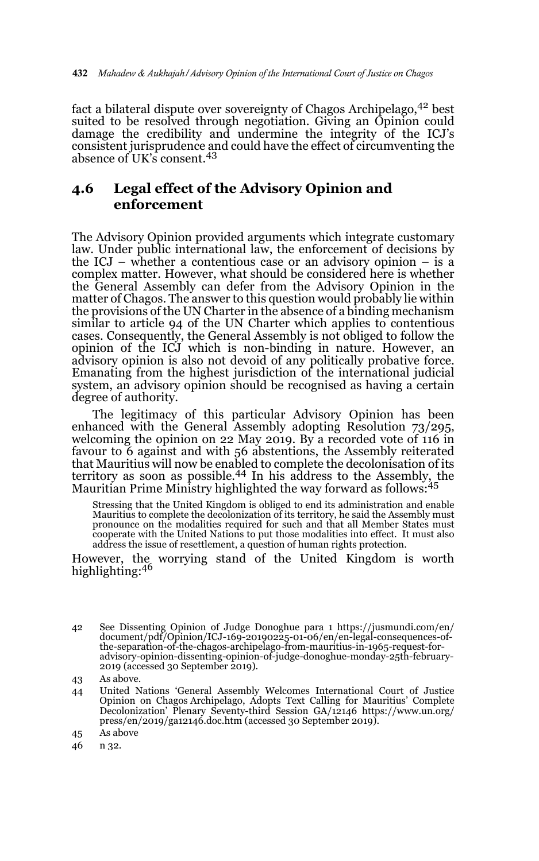fact a bilateral dispute over sovereignty of Chagos Archipelago, <sup>42</sup> best suited to be resolved through negotiation. Giving an Opinion could damage the credibility and undermine the integrity of the ICJ's consistent jurisprudence and could have the effect of circumventing the absence of UK's consent.<sup>43</sup>

### **4.6 Legal effect of the Advisory Opinion and enforcement**

The Advisory Opinion provided arguments which integrate customary law. Under public international law, the enforcement of decisions by the ICJ – whether a contentious case or an advisory opinion – is a complex matter. However, what should be considered here is whether the General Assembly can defer from the Advisory Opinion in the matter of Chagos. The answer to this question would probably lie within the provisions of the UN Charter in the absence of a binding mechanism similar to article 94 of the UN Charter which applies to contentious cases. Consequently, the General Assembly is not obliged to follow the opinion of the ICJ which is non-binding in nature. However, an advisory opinion is also not devoid of any politically probative force. Emanating from the highest jurisdiction of the international judicial system, an advisory opinion should be recognised as having a certain degree of authority.

The legitimacy of this particular Advisory Opinion has been enhanced with the General Assembly adopting Resolution 73/295, welcoming the opinion on 22 May 2019. By a recorded vote of 116 in favour to 6 against and with 56 abstentions, the Assembly reiterated that Mauritius will now be enabled to complete the decolonisation of its<br>territory as soon as possible.<sup>44</sup> In his address to the Assembly, the Mauritian Prime Ministry highlighted the way forward as follows:<sup>45</sup>

Stressing that the United Kingdom is obliged to end its administration and enable Mauritius to complete the decolonization of its territory, he said the Assembly must pronounce on the modalities required for such and that all Member States must cooperate with the United Nations to put those modalities into effect. It must also address the issue of resettlement, a question of human rights protection.

However, the worrying stand of the United Kingdom is worth highlighting:46

- 44 United Nations 'General Assembly Welcomes International Court of Justice Opinion on Chagos Archipelago, Adopts Text Calling for Mauritius' Complete Decolonization' Plenary Seventy-third Session GA/12146 https://www.un.org/ press/en/2019/ga12146.doc.htm (accessed 30 September 2019).
- 45 As above
- 46 n 32.

<sup>42</sup> See Dissenting Opinion of Judge Donoghue para 1 https://jusmundi.com/en/<br>document/pdf/Opinion/ICJ-169-20190225-01-06/en/en-legal-consequences-of-<br>the-separation-of-the-chagos-archipelago-from-mauritius-in-1965-request-f advisory-opinion-dissenting-opinion-of-judge-donoghue-monday-25th-february-2019 (accessed 30 September 2019).

<sup>43</sup> As above.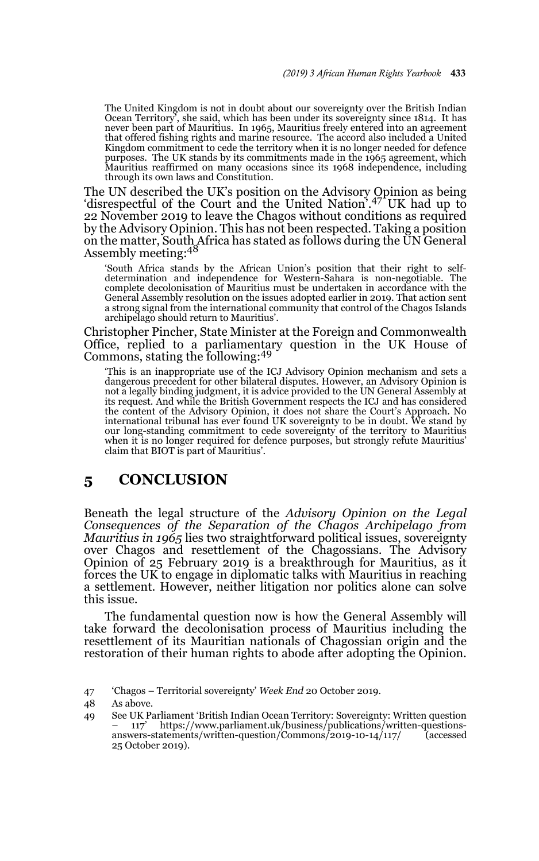The United Kingdom is not in doubt about our sovereignty over the British Indian Ocean Territory', she said, which has been under its sovereignty since 1814. It has never been part of Mauritius. In 1965, Mauritius freely entered into an agreement that offered fishing rights and marine resource. The accord also included a United Kingdom commitment to cede the territory when it is no longer needed for defence purposes. The UK stands by its commitments made in the 1965 agreement, which Mauritius reaffirmed on many occasions since its 1968 independence, including through its own laws and Constitution.

The UN described the UK's position on the Advisory Opinion as being 'disrespectful of the Court and the United Nation'.47 UK had up to 22 November 2019 to leave the Chagos without conditions as required by the Advisory Opinion. This has not been respected. Taking a position on the matter, South Africa has stated as follows during the UN General<br>Assembly meeting:<sup>48</sup>

'South Africa stands by the African Union's position that their right to selfdetermination and independence for Western-Sahara is non-negotiable. The complete decolonisation of Mauritius must be undertaken in accordance with the General Assembly resolution on the issues adopted earlier in 2019. That action sent a strong signal from the international community that control of the Chagos Islands archipelago should return to Mauritius'.

Christopher Pincher, State Minister at the Foreign and Commonwealth Office, replied to a parliamentary question in the UK House of Commons, stating the following:<sup>49</sup>

'This is an inappropriate use of the ICJ Advisory Opinion mechanism and sets a dangerous precedent for other bilateral disputes. However, an Advisory Opinion is not a legally binding judgment, it is advice provided to the UN General Assembly at its request. And while the British Government respects the ICJ and has considered the content of the Advisory Opinion, it does not share the Court's Approach. No international tribunal has ever found UK sovereignty to be in doubt. We stand by our long-standing commitment to cede sovereignty of the territory to Mauritius when it is no longer required for defence purposes, but strongly refute Mauritius' claim that BIOT is part of Mauritius'.

### **5 CONCLUSION**

Beneath the legal structure of the *Advisory Opinion on the Legal Consequences of the Separation of the Chagos Archipelago from Mauritius in 1965* lies two straightforward political issues, sovereignty over Chagos and resettlement of the Chagossians. The Advisory Opinion of 25 February 2019 is a breakthrough for Mauritius, as it forces the UK to engage in diplomatic talks with Mauritius in reaching a settlement. However, neither litigation nor politics alone can solve this issue.

The fundamental question now is how the General Assembly will take forward the decolonisation process of Mauritius including the resettlement of its Mauritian nationals of Chagossian origin and the restoration of their human rights to abode after adopting the Opinion.

<sup>47 &#</sup>x27;Chagos – Territorial sovereignty' *Week End* 20 October 2019.

<sup>48</sup> As above.

<sup>49</sup> See UK Parliament 'British Indian Ocean Territory: Sovereignty: Written question – 117' https://www.parliament.uk/business/publications/written-questionsanswers-statements/written-question/Commons/2019-10-14/117/ 25 October 2019).